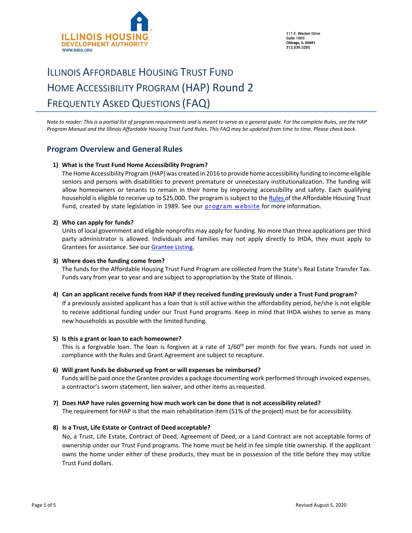

111 E. Wacker Drive **Suite 1000 Chicago, IL 60601** 312 836 5200

# ILLINOIS AFFORDABLE HOUSING TRUST FUND HOME ACCESSIBILITY PROGRAM (HAP) Round 2 FREQUENTLY ASKED QUESTIONS (FAQ)

*Note to reader: This is a partial list of program requirements and is meant to serve as a general guide. For the complete Rules, see the HAP Program Manual and the Illinois Affordable Housing Trust Fund Rules. This FAQ may be updated from time to time. Please check back.*

## **Program Overview and General Rules**

#### **1) What is the Trust Fund Home Accessibility Program?**

The Home Accessibility Program (HAP) was created in 2016 to provide home accessibility funding to income-eligible seniors and persons with disabilities to prevent premature or unnecessary institutionalization. The funding will allow homeowners or tenants to remain in their home by improving accessibility and safety. Each qualifying household is eligible to receive up to \$25,000. The program is subject to the [Rules](https://www.ihda.org/wp-content/uploads/2016/03/360_Affordable_Housing_Program.pdf) of the Affordable Housing Trust Fund, created [by](https://www.ihda.org/wp-content/uploads/2016/08/IL-Affordable-Housing-Trust-Fund-Program-Rules.pdf) state legislation in 1989. See our [program website](https://www.ihda.org/my-community/revitalization-programs/) for more information.

#### **2) Who can apply for funds?**

Units of local government and eligible nonprofits may apply for funding. No more than three applications per third party administrator is allowed. Individuals and families may not apply directly to IHDA, they must apply to Grantees for assistance. See our [Grantee Listing.](https://df7qosnywqs6g.cloudfront.net/wp-content/uploads/2019/08/HAP-R2-Participating-Sponsors-areas-served.pdf)

#### **3) Where does the funding come from?**

The funds for the Affordable Housing Trust Fund Program are collected from the State's Real Estate Transfer Tax. Funds vary from year to year and are subject to appropriation by the State of Illinois.

#### **4) Can an applicant receive funds from HAP if they received funding previously under a Trust Fund program?**

If a previously assisted applicant has a loan that is still active within the affordability period, he/she is not eligible to receive additional funding under our Trust Fund programs. Keep in mind that IHDA wishes to serve as many new households as possible with the limited funding.

#### **5) Is this a grant or loan to each homeowner?**

This is a forgivable loan. The loan is forgiven at a rate of 1/60<sup>th</sup> per month for five years. Funds not used in compliance with the Rules and Grant Agreement are subject to recapture.

#### **6) Will grant funds be disbursed up front or will expenses be reimbursed?**

Funds will be paid once the Grantee provides a package documenting work performed through invoiced expenses, a contractor's sworn statement, lien waiver, and other items as requested.

#### **7) Does HAP have rules governing how much work can be done that is not accessibility related?**

The requirement for HAP is that the main rehabilitation item (51% of the project) must be for accessibility.

#### **8) Is a Trust, Life Estate or Contract of Deed acceptable?**

No, a Trust, Life Estate, Contract of Deed, Agreement of Deed, or a Land Contract are not acceptable forms of ownership under our Trust Fund programs. The home must be held in fee simple title ownership. If the applicant owns the home under either of these products, they must be in possession of the title before they may utilize Trust Fund dollars.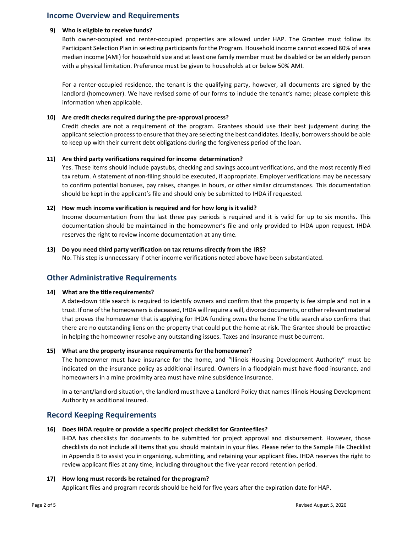## **Income Overview and Requirements**

#### **9) Who is eligible to receive funds?**

Both owner-occupied and renter-occupied properties are allowed under HAP. The Grantee must follow its Participant Selection Plan in selecting participants for the Program. Household income cannot exceed 80% of area median income (AMI) for household size and at least one family member must be disabled or be an elderly person with a physical limitation. Preference must be given to households at or below 50% AMI.

For a renter-occupied residence, the tenant is the qualifying party, however, all documents are signed by the landlord (homeowner). We have revised some of our forms to include the tenant's name; please complete this information when applicable.

#### **10) Are credit checks required during the pre-approval process?**

Credit checks are not a requirement of the program. Grantees should use their best judgement during the applicant selection process to ensure that they are selecting the best candidates. Ideally, borrowers should be able to keep up with their current debt obligations during the forgiveness period of the loan.

#### **11) Are third party verifications required for income determination?**

Yes. These items should include paystubs, checking and savings account verifications, and the most recently filed tax return. A statement of non-filing should be executed, if appropriate. Employer verifications may be necessary to confirm potential bonuses, pay raises, changes in hours, or other similar circumstances. This documentation should be kept in the applicant's file and should only be submitted to IHDA if requested.

#### **12) How much income verification is required and for how long is it valid?**

Income documentation from the last three pay periods is required and it is valid for up to six months. This documentation should be maintained in the homeowner's file and only provided to IHDA upon request. IHDA reserves the right to review income documentation at any time.

#### **13) Do you need third party verification on tax returns directly from the IRS?**

No. This step is unnecessary if other income verifications noted above have been substantiated.

## **Other Administrative Requirements**

#### **14) What are the title requirements?**

A date-down title search is required to identify owners and confirm that the property is fee simple and not in a trust. If one of the homeowners is deceased, IHDA will require a will, divorce documents, or other relevant material that proves the homeowner that is applying for IHDA funding owns the home The title search also confirms that there are no outstanding liens on the property that could put the home at risk. The Grantee should be proactive in helping the homeowner resolve any outstanding issues. Taxes and insurance must becurrent.

#### **15) What are the property insurance requirements for the homeowner?**

The homeowner must have insurance for the home, and "Illinois Housing Development Authority" must be indicated on the insurance policy as additional insured. Owners in a floodplain must have flood insurance, and homeowners in a mine proximity area must have mine subsidence insurance.

In a tenant/landlord situation, the landlord must have a Landlord Policy that names Illinois Housing Development Authority as additional insured.

## **Record Keeping Requirements**

#### **16) Does IHDA require or provide a specific project checklist for Granteefiles?**

IHDA has checklists for documents to be submitted for project approval and disbursement. However, those checklists do not include all items that you should maintain in your files. Please refer to the Sample File Checklist in Appendix B to assist you in organizing, submitting, and retaining your applicant files. IHDA reserves the right to review applicant files at any time, including throughout the five-year record retention period.

## **17) How long must records be retained for the program?**

Applicant files and program records should be held for five years after the expiration date for HAP.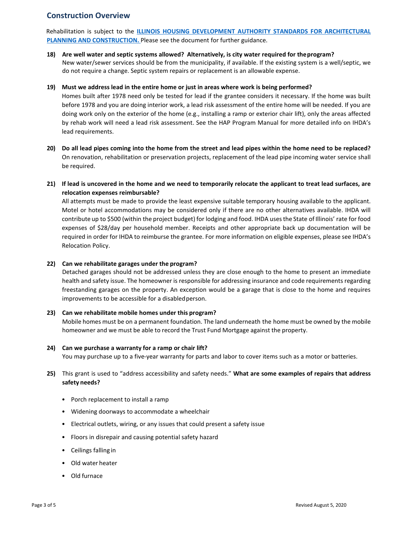## **Construction Overview**

Rehabilitation is subject to the **[ILLINOIS HOUSING DEVELOPMENT AUTHORITY STANDARDS FOR ARCHITECTURAL](https://df7qosnywqs6g.cloudfront.net/wp-content/uploads/2015/07/IHDA-Standards-for-Architectural-Planning-and-Construction-2019-FINAL.pdf) PLANNING AND CONSTRUCTION.** Please see the document for further guidance.

**18) Are well water and septic systems allowed? Alternatively, is city water required for theprogram?** New water/sewer services should be from the municipality, if available. If the existing system is a well/septic, we do not require a change. Septic system repairs or replacement is an allowable expense.

#### **19) Must we address lead in the entire home or just in areas where work is being performed?**

Homes built after 1978 need only be tested for lead if the grantee considers it necessary. If the home was built before 1978 and you are doing interior work, a lead risk assessment of the entire home will be needed. If you are doing work only on the exterior of the home (e.g., installing a ramp or exterior chair lift), only the areas affected by rehab work will need a lead risk assessment. See the HAP Program Manual for more detailed info on IHDA's lead requirements.

- **20) Do all lead pipes coming into the home from the street and lead pipes within the home need to be replaced?** On renovation, rehabilitation or preservation projects, replacement of the lead pipe incoming water service shall be required.
- **21) If lead is uncovered in the home and we need to temporarily relocate the applicant to treat lead surfaces, are relocation expenses reimbursable?**

All attempts must be made to provide the least expensive suitable temporary housing available to the applicant. Motel or hotel accommodations may be considered only if there are no other alternatives available. IHDA will contribute up to \$500 (within the project budget) for lodging and food. IHDA usesthe State of Illinois' rate for food expenses of \$28/day per household member. Receipts and other appropriate back up documentation will be required in order for IHDA to reimburse the grantee. For more information on eligible expenses, please see IHDA's Relocation Policy.

#### **22) Can we rehabilitate garages under the program?**

Detached garages should not be addressed unless they are close enough to the home to present an immediate health and safety issue. The homeowner is responsible for addressing insurance and code requirements regarding freestanding garages on the property. An exception would be a garage that is close to the home and requires improvements to be accessible for a disabled person.

#### **23) Can we rehabilitate mobile homes under this program?**

Mobile homes must be on a permanent foundation. The land underneath the home must be owned by the mobile homeowner and we must be able to record the Trust Fund Mortgage against the property.

#### **24) Can we purchase a warranty for a ramp or chair lift?**

You may purchase up to a five-year warranty for parts and labor to cover items such as a motor or batteries.

- **25)** This grant is used to "address accessibility and safety needs." **What are some examples of repairs that address safety needs?**
	- Porch replacement to install a ramp
	- Widening doorways to accommodate a wheelchair
	- Electrical outlets, wiring, or any issues that could present a safety issue
	- Floors in disrepair and causing potential safety hazard
	- Ceilings falling in
	- Old water heater
	- Old furnace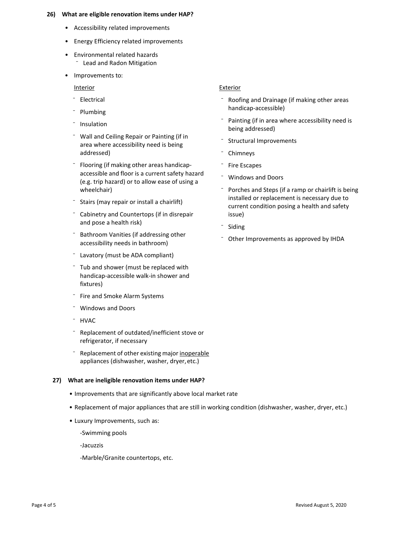#### **26) What are eligible renovation items under HAP?**

- Accessibility related improvements
- Energy Efficiency related improvements
- Environmental related hazards **Lead and Radon Mitigation**
- Improvements to:

**Interior** 

- ⁻ Electrical
- **Plumbing**
- ⁻ Insulation
- ⁻ Wall and Ceiling Repair or Painting (if in area where accessibility need is being addressed)
- ⁻ Flooring (if making other areas handicapaccessible and floor is a current safety hazard (e.g. trip hazard) or to allow ease of using a wheelchair)
- ⁻ Stairs (may repair or install a chairlift)
- ⁻ Cabinetry and Countertops (if in disrepair and pose a health risk)
- ⁻ Bathroom Vanities (if addressing other accessibility needs in bathroom)
- Lavatory (must be ADA compliant)
- Tub and shower (must be replaced with handicap-accessible walk-in shower and fixtures)
- ⁻ Fire and Smoke Alarm Systems
- ⁻ Windows and Doors
- ⁻ HVAC
- ⁻ Replacement of outdated/inefficient stove or refrigerator, if necessary
- ⁻ Replacement of other existing major inoperable appliances (dishwasher, washer, dryer, etc.)

#### **27) What are ineligible renovation items under HAP?**

- Improvements that are significantly above local market rate
- Replacement of major appliances that are still in working condition (dishwasher, washer, dryer, etc.)
- Luxury Improvements, such as:
	- -Swimming pools

-Jacuzzis

-Marble/Granite countertops, etc.

#### **Exterior**

- ⁻ Roofing and Drainage (if making other areas handicap-accessible)
- Painting (if in area where accessibility need is being addressed)
- Structural Improvements
- **Chimneys**
- ⁻ Fire Escapes
- ⁻ Windows and Doors
- ⁻ Porches and Steps (if a ramp or chairlift is being installed or replacement is necessary due to current condition posing a health and safety issue)
- **Siding**
- Other Improvements as approved by IHDA